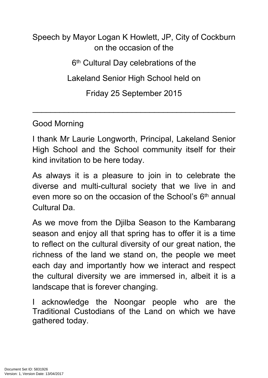## Speech by Mayor Logan K Howlett, JP, City of Cockburn on the occasion of the 6<sup>th</sup> Cultural Day celebrations of the Lakeland Senior High School held on Friday 25 September 2015

Good Morning

I thank Mr Laurie Longworth, Principal, Lakeland Senior High School and the School community itself for their kind invitation to be here today.

\_\_\_\_\_\_\_\_\_\_\_\_\_\_\_\_\_\_\_\_\_\_\_\_\_\_\_\_\_\_\_\_\_\_\_\_\_\_\_\_\_\_\_\_\_

As always it is a pleasure to join in to celebrate the diverse and multi-cultural society that we live in and even more so on the occasion of the School's 6<sup>th</sup> annual Cultural Da.

As we move from the Djilba Season to the Kambarang season and enjoy all that spring has to offer it is a time to reflect on the cultural diversity of our great nation, the richness of the land we stand on, the people we meet each day and importantly how we interact and respect the cultural diversity we are immersed in, albeit it is a landscape that is forever changing.

acknowledge the Noongar people who are the Traditional Custodians of the Land on which we have gathered today.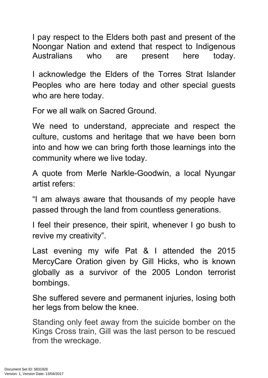I pay respect to the Elders both past and present of the Noongar Nation and extend that respect to Indigenous Australians who are present here today.

I acknowledge the Elders of the Torres Strat Islander Peoples who are here today and other special guests who are here today.

For we all walk on Sacred Ground.

We need to understand, appreciate and respect the culture, customs and heritage that we have been born into and how we can bring forth those learnings into the community where we live today.

A quote from Merle Narkle-Goodwin, a local Nyungar artist refers:

"I am always aware that thousands of my people have passed through the land from countless generations.

I feel their presence, their spirit, whenever I go bush to revive my creativity".

Last evening my wife Pat & I attended the 2015 MercyCare Oration given by Gill Hicks, who is known globally as a survivor of the 2005 London terrorist bombings.

She suffered severe and permanent injuries, losing both her legs from below the knee.

Standing only feet away from the suicide bomber on the Kings Cross train, Gill was the last person to be rescued from the wreckage.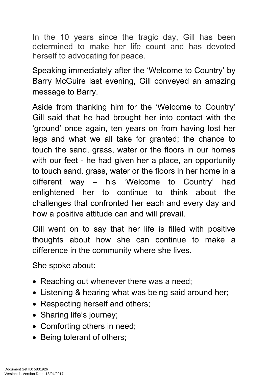In the 10 years since the tragic day, Gill has been determined to make her life count and has devoted herself to advocating for peace.

Speaking immediately after the 'Welcome to Country' by Barry McGuire last evening, Gill conveyed an amazing message to Barry.

Aside from thanking him for the 'Welcome to Country' Gill said that he had brought her into contact with the 'ground' once again, ten years on from having lost her legs and what we all take for granted; the chance to touch the sand, grass, water or the floors in our homes with our feet - he had given her a place, an opportunity to touch sand, grass, water or the floors in her home in a different way – his 'Welcome to Country' had enlightened her to continue to think about the challenges that confronted her each and every day and how a positive attitude can and will prevail.

Gill went on to say that her life is filled with positive thoughts about how she can continue to make a difference in the community where she lives.

She spoke about:

- Reaching out whenever there was a need;
- Listening & hearing what was being said around her;
- Respecting herself and others;
- Sharing life's journey;
- Comforting others in need:
- Being tolerant of others;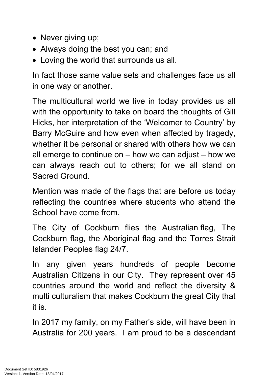- Never giving up;
- Always doing the best you can; and
- Loving the world that surrounds us all.

In fact those same value sets and challenges face us all in one way or another.

The multicultural world we live in today provides us all with the opportunity to take on board the thoughts of Gill Hicks, her interpretation of the 'Welcomer to Country' by Barry McGuire and how even when affected by tragedy, whether it be personal or shared with others how we can all emerge to continue on  $-$  how we can adjust  $-$  how we can always reach out to others; for we all stand on Sacred Ground.

Mention was made of the flags that are before us today reflecting the countries where students who attend the School have come from.

The City of Cockburn flies the Australian flag, The Cockburn flag, the Aboriginal flag and the Torres Strait Islander Peoples flag 24/7.

In any given years hundreds of people become Australian Citizens in our City. They represent over 45 countries around the world and reflect the diversity & multi culturalism that makes Cockburn the great City that it is.

In 2017 my family, on my Father's side, will have been in Australia for 200 years. I am proud to be a descendant